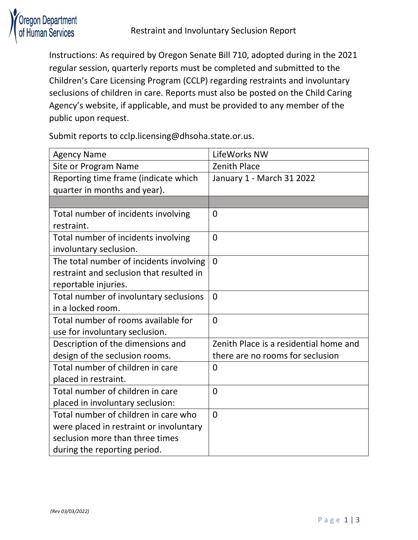

Instructions: As required by Oregon Senate Bill 710, adopted during in the 2021 regular session, quarterly reports must be completed and submitted to the Children's Care Licensing Program (CCLP) regarding restraints and involuntary seclusions of children in care. Reports must also be posted on the Child Caring Agency's website, if applicable, and must be provided to any member of the public upon request.

Submit reports to cclp.licensing@dhsoha.state.or.us.

| <b>Agency Name</b>                       | LifeWorks NW                           |
|------------------------------------------|----------------------------------------|
| Site or Program Name                     | <b>Zenith Place</b>                    |
| Reporting time frame (indicate which     | January 1 - March 31 2022              |
| quarter in months and year).             |                                        |
|                                          |                                        |
| Total number of incidents involving      | $\overline{0}$                         |
| restraint.                               |                                        |
| Total number of incidents involving      | $\Omega$                               |
| involuntary seclusion.                   |                                        |
| The total number of incidents involving  | $\mathbf{0}$                           |
| restraint and seclusion that resulted in |                                        |
| reportable injuries.                     |                                        |
| Total number of involuntary seclusions   | $\mathbf{0}$                           |
| in a locked room.                        |                                        |
| Total number of rooms available for      | $\Omega$                               |
| use for involuntary seclusion.           |                                        |
| Description of the dimensions and        | Zenith Place is a residential home and |
| design of the seclusion rooms.           | there are no rooms for seclusion       |
| Total number of children in care         | 0                                      |
| placed in restraint.                     |                                        |
| Total number of children in care         | $\mathbf 0$                            |
| placed in involuntary seclusion:         |                                        |
| Total number of children in care who     | $\Omega$                               |
| were placed in restraint or involuntary  |                                        |
| seclusion more than three times          |                                        |
| during the reporting period.             |                                        |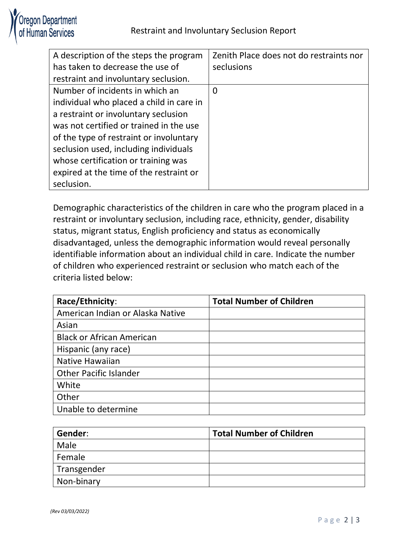

| A description of the steps the program   | Zenith Place does not do restraints nor |
|------------------------------------------|-----------------------------------------|
| has taken to decrease the use of         | seclusions                              |
| restraint and involuntary seclusion.     |                                         |
| Number of incidents in which an          | $\overline{0}$                          |
| individual who placed a child in care in |                                         |
| a restraint or involuntary seclusion     |                                         |
| was not certified or trained in the use  |                                         |
| of the type of restraint or involuntary  |                                         |
| seclusion used, including individuals    |                                         |
| whose certification or training was      |                                         |
| expired at the time of the restraint or  |                                         |
| seclusion.                               |                                         |

Demographic characteristics of the children in care who the program placed in a restraint or involuntary seclusion, including race, ethnicity, gender, disability status, migrant status, English proficiency and status as economically disadvantaged, unless the demographic information would reveal personally identifiable information about an individual child in care. Indicate the number of children who experienced restraint or seclusion who match each of the criteria listed below:

| Race/Ethnicity:                  | <b>Total Number of Children</b> |
|----------------------------------|---------------------------------|
| American Indian or Alaska Native |                                 |
| Asian                            |                                 |
| <b>Black or African American</b> |                                 |
| Hispanic (any race)              |                                 |
| Native Hawaiian                  |                                 |
| <b>Other Pacific Islander</b>    |                                 |
| White                            |                                 |
| Other                            |                                 |
| Unable to determine              |                                 |

| Gender:     | <b>Total Number of Children</b> |
|-------------|---------------------------------|
| Male        |                                 |
| Female      |                                 |
| Transgender |                                 |
| Non-binary  |                                 |